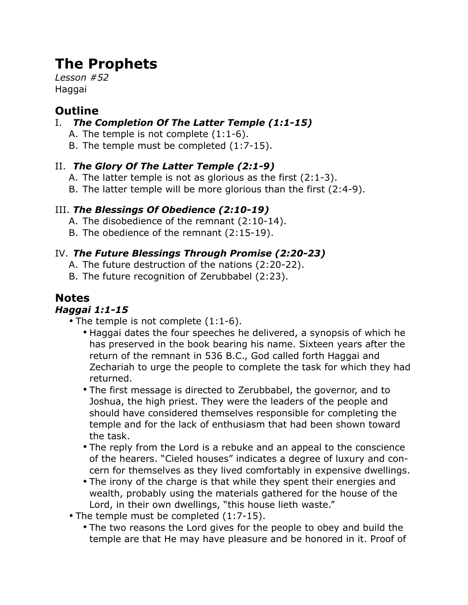# **The Prophets**

*Lesson #52* **Haggai** 

## **Outline**

### I. *The Completion Of The Latter Temple (1:1-15)*

- A. The temple is not complete (1:1-6).
- B. The temple must be completed (1:7-15).

### II. *The Glory Of The Latter Temple (2:1-9)*

- A. The latter temple is not as glorious as the first (2:1-3).
- B. The latter temple will be more glorious than the first (2:4-9).

### III. *The Blessings Of Obedience (2:10-19)*

- A. The disobedience of the remnant (2:10-14).
- B. The obedience of the remnant (2:15-19).

### IV. *The Future Blessings Through Promise (2:20-23)*

- A. The future destruction of the nations (2:20-22).
- B. The future recognition of Zerubbabel (2:23).

## **Notes**

### *Haggai 1:1-15*

- The temple is not complete  $(1:1-6)$ .
	- Haggai dates the four speeches he delivered, a synopsis of which he has preserved in the book bearing his name. Sixteen years after the return of the remnant in 536 B.C., God called forth Haggai and Zechariah to urge the people to complete the task for which they had returned.
	- The first message is directed to Zerubbabel, the governor, and to Joshua, the high priest. They were the leaders of the people and should have considered themselves responsible for completing the temple and for the lack of enthusiasm that had been shown toward the task.
	- The reply from the Lord is a rebuke and an appeal to the conscience of the hearers. "Cieled houses" indicates a degree of luxury and concern for themselves as they lived comfortably in expensive dwellings.
	- The irony of the charge is that while they spent their energies and wealth, probably using the materials gathered for the house of the Lord, in their own dwellings, "this house lieth waste."
- The temple must be completed (1:7-15).
	- The two reasons the Lord gives for the people to obey and build the temple are that He may have pleasure and be honored in it. Proof of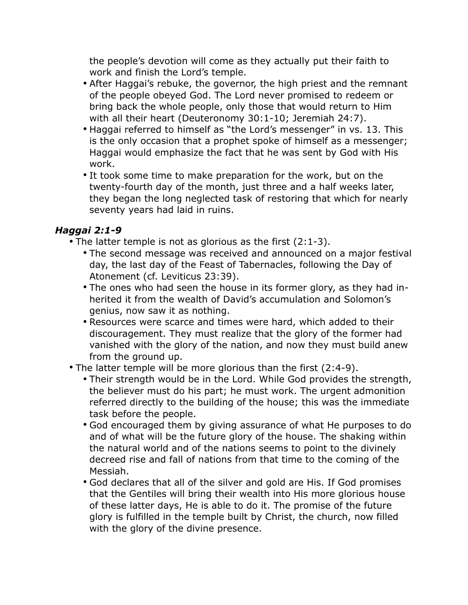the people's devotion will come as they actually put their faith to work and finish the Lord's temple.

- After Haggai's rebuke, the governor, the high priest and the remnant of the people obeyed God. The Lord never promised to redeem or bring back the whole people, only those that would return to Him with all their heart (Deuteronomy 30:1-10; Jeremiah 24:7).
- Haggai referred to himself as "the Lord's messenger" in vs. 13. This is the only occasion that a prophet spoke of himself as a messenger; Haggai would emphasize the fact that he was sent by God with His work.
- It took some time to make preparation for the work, but on the twenty-fourth day of the month, just three and a half weeks later, they began the long neglected task of restoring that which for nearly seventy years had laid in ruins.

### *Haggai 2:1-9*

- The latter temple is not as glorious as the first (2:1-3).
	- The second message was received and announced on a major festival day, the last day of the Feast of Tabernacles, following the Day of Atonement (cf. Leviticus 23:39).
	- The ones who had seen the house in its former glory, as they had inherited it from the wealth of David's accumulation and Solomon's genius, now saw it as nothing.
	- Resources were scarce and times were hard, which added to their discouragement. They must realize that the glory of the former had vanished with the glory of the nation, and now they must build anew from the ground up.
- The latter temple will be more glorious than the first (2:4-9).
	- Their strength would be in the Lord. While God provides the strength, the believer must do his part; he must work. The urgent admonition referred directly to the building of the house; this was the immediate task before the people.
	- God encouraged them by giving assurance of what He purposes to do and of what will be the future glory of the house. The shaking within the natural world and of the nations seems to point to the divinely decreed rise and fall of nations from that time to the coming of the Messiah.
	- God declares that all of the silver and gold are His. If God promises that the Gentiles will bring their wealth into His more glorious house of these latter days, He is able to do it. The promise of the future glory is fulfilled in the temple built by Christ, the church, now filled with the glory of the divine presence.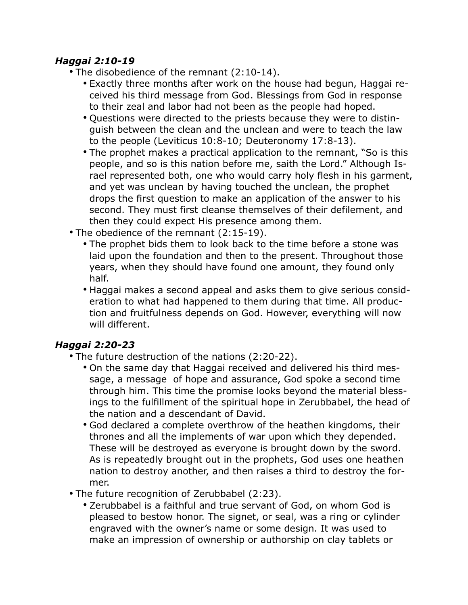#### *Haggai 2:10-19*

- The disobedience of the remnant (2:10-14).
	- Exactly three months after work on the house had begun, Haggai received his third message from God. Blessings from God in response to their zeal and labor had not been as the people had hoped.
	- Questions were directed to the priests because they were to distinguish between the clean and the unclean and were to teach the law to the people (Leviticus 10:8-10; Deuteronomy 17:8-13).
	- The prophet makes a practical application to the remnant, "So is this people, and so is this nation before me, saith the Lord." Although Israel represented both, one who would carry holy flesh in his garment, and yet was unclean by having touched the unclean, the prophet drops the first question to make an application of the answer to his second. They must first cleanse themselves of their defilement, and then they could expect His presence among them.
- The obedience of the remnant (2:15-19).
	- The prophet bids them to look back to the time before a stone was laid upon the foundation and then to the present. Throughout those years, when they should have found one amount, they found only half.
	- Haggai makes a second appeal and asks them to give serious consideration to what had happened to them during that time. All production and fruitfulness depends on God. However, everything will now will different.

### *Haggai 2:20-23*

- The future destruction of the nations (2:20-22).
	- On the same day that Haggai received and delivered his third message, a message of hope and assurance, God spoke a second time through him. This time the promise looks beyond the material blessings to the fulfillment of the spiritual hope in Zerubbabel, the head of the nation and a descendant of David.
	- God declared a complete overthrow of the heathen kingdoms, their thrones and all the implements of war upon which they depended. These will be destroyed as everyone is brought down by the sword. As is repeatedly brought out in the prophets, God uses one heathen nation to destroy another, and then raises a third to destroy the former.
- The future recognition of Zerubbabel (2:23).
	- Zerubbabel is a faithful and true servant of God, on whom God is pleased to bestow honor. The signet, or seal, was a ring or cylinder engraved with the owner's name or some design. It was used to make an impression of ownership or authorship on clay tablets or